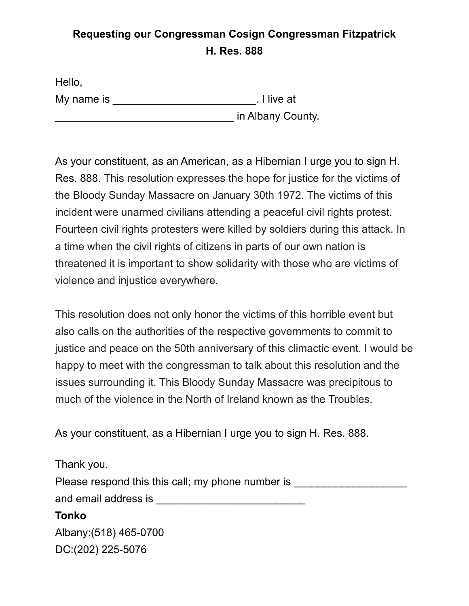## **Requesting our Congressman Cosign Congressman Fitzpatrick H. Res. 888**

| Hello,     |                   |
|------------|-------------------|
| My name is | . I live at       |
|            | in Albany County. |

As your constituent, as an American, as a Hibernian I urge you to sign H. Res. 888. This resolution expresses the hope for justice for the victims of the Bloody Sunday Massacre on January 30th 1972. The victims of this incident were unarmed civilians attending a peaceful civil rights protest. Fourteen civil rights protesters were killed by soldiers during this attack. In a time when the civil rights of citizens in parts of our own nation is threatened it is important to show solidarity with those who are victims of violence and injustice everywhere.

This resolution does not only honor the victims of this horrible event but also calls on the authorities of the respective governments to commit to justice and peace on the 50th anniversary of this climactic event. I would be happy to meet with the congressman to talk about this resolution and the issues surrounding it. This Bloody Sunday Massacre was precipitous to much of the violence in the North of Ireland known as the Troubles.

As your constituent, as a Hibernian I urge you to sign H. Res. 888.

| Thank you.                                        |  |
|---------------------------------------------------|--|
| Please respond this this call; my phone number is |  |
| and email address is                              |  |
| <b>Tonko</b>                                      |  |
| Albany: (518) 465-0700                            |  |
| DC:(202) 225-5076                                 |  |